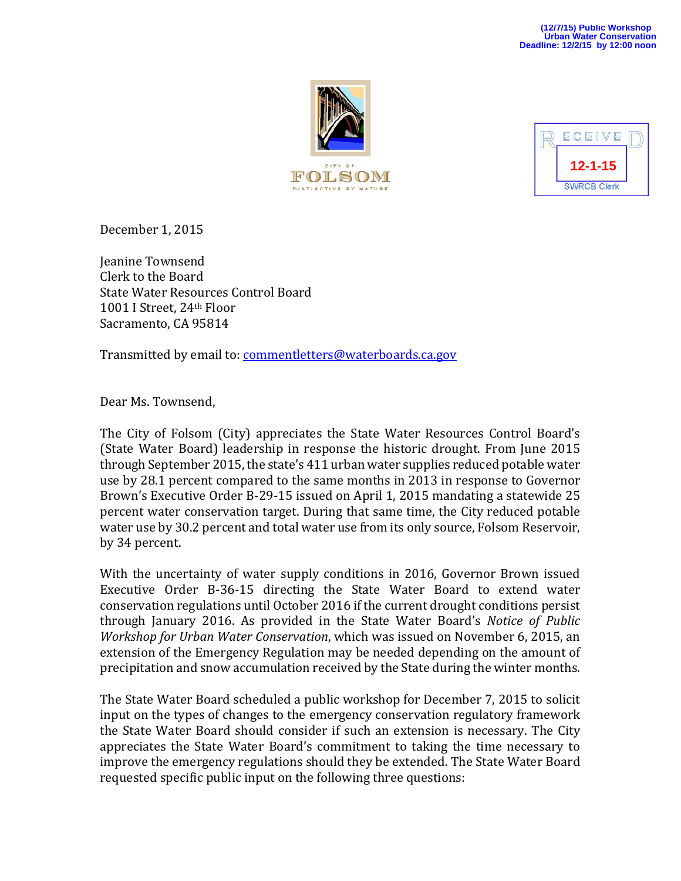



December 1, 2015

Jeanine Townsend Clerk to the Board State Water Resources Control Board 1001 I Street, 24<sup>th</sup> Floor Sacramento, CA 95814

Transmitted by email to: commentletters@waterboards.ca.gov

Dear Ms. Townsend,

The City of Folsom (City) appreciates the State Water Resources Control Board's (State Water Board) leadership in response the historic drought. From June 2015 through September 2015, the state's 411 urban water supplies reduced potable water use by 28.1 percent compared to the same months in 2013 in response to Governor Brown's Executive Order B-29-15 issued on April 1, 2015 mandating a statewide 25 percent water conservation target. During that same time, the City reduced potable water use by 30.2 percent and total water use from its only source, Folsom Reservoir, by 34 percent.

With the uncertainty of water supply conditions in 2016, Governor Brown issued Executive Order B-36-15 directing the State Water Board to extend water conservation regulations until October 2016 if the current drought conditions persist through January 2016. As provided in the State Water Board's *Notice of Public Workshop for Urban Water Conservation,* which was issued on November 6, 2015, an extension of the Emergency Regulation may be needed depending on the amount of precipitation and snow accumulation received by the State during the winter months.

The State Water Board scheduled a public workshop for December 7, 2015 to solicit input on the types of changes to the emergency conservation regulatory framework the State Water Board should consider if such an extension is necessary. The City appreciates the State Water Board's commitment to taking the time necessary to improve the emergency regulations should they be extended. The State Water Board requested specific public input on the following three questions: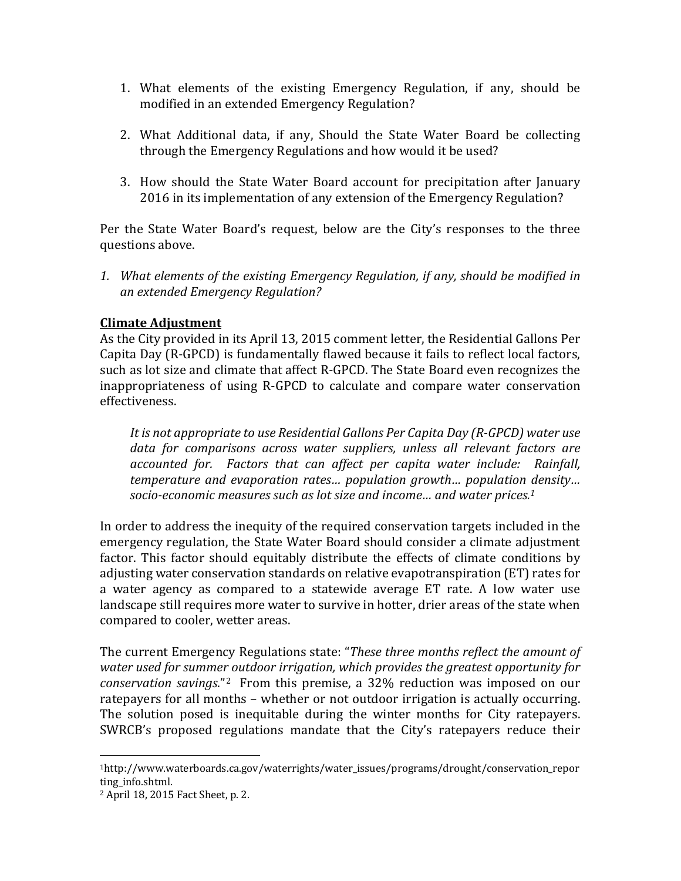- 1. What elements of the existing Emergency Regulation, if any, should be modified in an extended Emergency Regulation?
- 2. What Additional data, if any, Should the State Water Board be collecting through the Emergency Regulations and how would it be used?
- 3. How should the State Water Board account for precipitation after January 2016 in its implementation of any extension of the Emergency Regulation?

Per the State Water Board's request, below are the City's responses to the three questions above.

*1. What elements of the existing Emergency Regulation, if any, should be modified in an extended Emergency Regulation?*

## **Climate Adjustment**

As the City provided in its April 13, 2015 comment letter, the Residential Gallons Per Capita Day (R-GPCD) is fundamentally flawed because it fails to reflect local factors, such as lot size and climate that affect R-GPCD. The State Board even recognizes the inappropriateness of using R-GPCD to calculate and compare water conservation effectiveness. 

*It is not appropriate to use Residential Gallons Per Capita Day (R‐GPCD) water use data for comparisons across water suppliers, unless all relevant factors are accounted for. Factors that can affect per capita water include: Rainfall, temperature and evaporation rates… population growth… population density… socio‐economic measures such as lot size and income… and water prices.1*

In order to address the inequity of the required conservation targets included in the emergency regulation, the State Water Board should consider a climate adjustment factor. This factor should equitably distribute the effects of climate conditions by adjusting water conservation standards on relative evapotranspiration (ET) rates for a water agency as compared to a statewide average ET rate. A low water use landscape still requires more water to survive in hotter, drier areas of the state when compared to cooler, wetter areas.

The current Emergency Regulations state: "*These three months reflect the amount of water used for summer outdoor irrigation, which provides the greatest opportunity for conservation savings*."<sup>2</sup> From this premise, a 32% reduction was imposed on our ratepayers for all months – whether or not outdoor irrigation is actually occurring. The solution posed is inequitable during the winter months for City ratepayers. SWRCB's proposed regulations mandate that the City's ratepayers reduce their

 

<sup>1</sup>http://www.waterboards.ca.gov/waterrights/water\_issues/programs/drought/conservation\_repor ting info.shtml.

<sup>&</sup>lt;sup>2</sup> April 18, 2015 Fact Sheet, p. 2.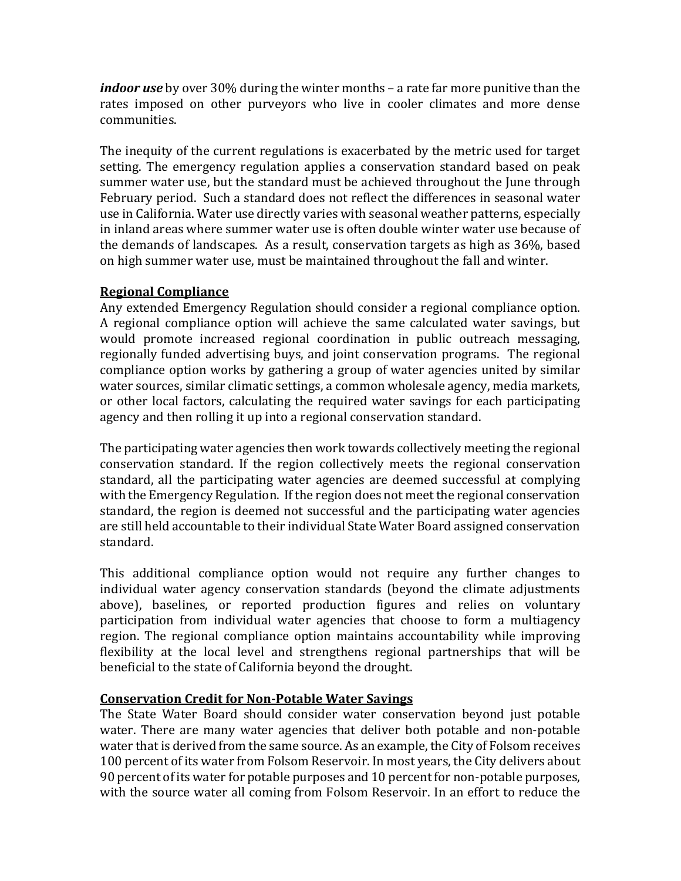*indoor use* by over 30% during the winter months – a rate far more punitive than the rates imposed on other purveyors who live in cooler climates and more dense communities. 

The inequity of the current regulations is exacerbated by the metric used for target setting. The emergency regulation applies a conservation standard based on peak summer water use, but the standard must be achieved throughout the lune through February period. Such a standard does not reflect the differences in seasonal water use in California. Water use directly varies with seasonal weather patterns, especially in inland areas where summer water use is often double winter water use because of the demands of landscapes. As a result, conservation targets as high as 36%, based on high summer water use, must be maintained throughout the fall and winter.

## **Regional Compliance**

Any extended Emergency Regulation should consider a regional compliance option. A regional compliance option will achieve the same calculated water savings, but would promote increased regional coordination in public outreach messaging, regionally funded advertising buys, and joint conservation programs. The regional compliance option works by gathering a group of water agencies united by similar water sources, similar climatic settings, a common wholesale agency, media markets, or other local factors, calculating the required water savings for each participating agency and then rolling it up into a regional conservation standard.

The participating water agencies then work towards collectively meeting the regional conservation standard. If the region collectively meets the regional conservation standard, all the participating water agencies are deemed successful at complying with the Emergency Regulation. If the region does not meet the regional conservation standard, the region is deemed not successful and the participating water agencies are still held accountable to their individual State Water Board assigned conservation standard. 

This additional compliance option would not require any further changes to individual water agency conservation standards (beyond the climate adjustments above), baselines, or reported production figures and relies on voluntary participation from individual water agencies that choose to form a multiagency region. The regional compliance option maintains accountability while improving flexibility at the local level and strengthens regional partnerships that will be beneficial to the state of California beyond the drought.

## **Conservation Credit for Non‐Potable Water Savings**

The State Water Board should consider water conservation beyond just potable water. There are many water agencies that deliver both potable and non-potable water that is derived from the same source. As an example, the City of Folsom receives 100 percent of its water from Folsom Reservoir. In most years, the City delivers about 90 percent of its water for potable purposes and 10 percent for non-potable purposes, with the source water all coming from Folsom Reservoir. In an effort to reduce the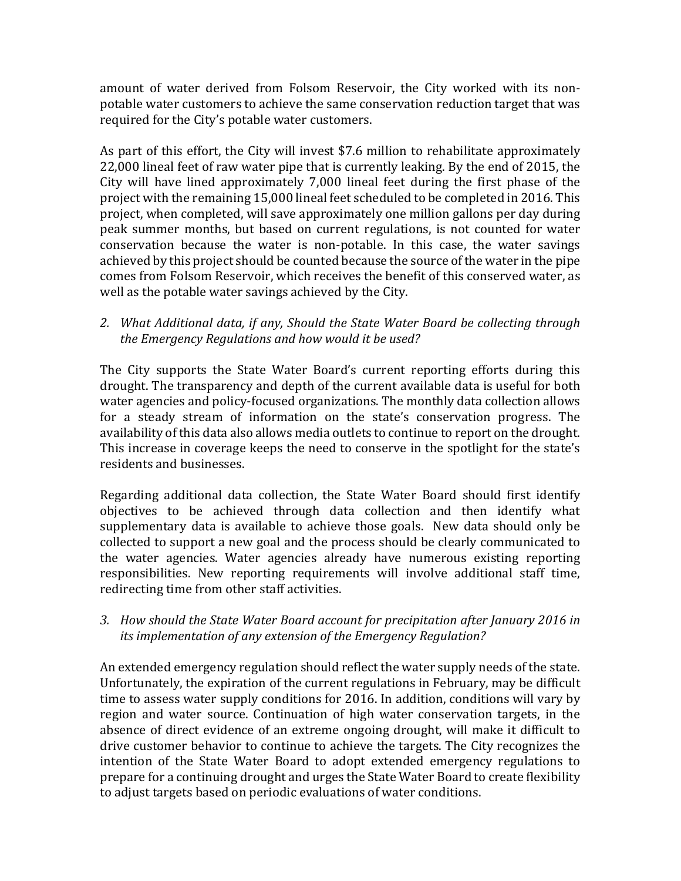amount of water derived from Folsom Reservoir, the City worked with its nonpotable water customers to achieve the same conservation reduction target that was required for the City's potable water customers.

As part of this effort, the City will invest \$7.6 million to rehabilitate approximately 22,000 lineal feet of raw water pipe that is currently leaking. By the end of 2015, the City will have lined approximately  $7,000$  lineal feet during the first phase of the project with the remaining 15,000 lineal feet scheduled to be completed in 2016. This project, when completed, will save approximately one million gallons per day during peak summer months, but based on current regulations, is not counted for water conservation because the water is non-potable. In this case, the water savings achieved by this project should be counted because the source of the water in the pipe comes from Folsom Reservoir, which receives the benefit of this conserved water, as well as the potable water savings achieved by the City.

*2. What Additional data, if any, Should the State Water Board be collecting through the Emergency Regulations and how would it be used?*

The City supports the State Water Board's current reporting efforts during this drought. The transparency and depth of the current available data is useful for both water agencies and policy-focused organizations. The monthly data collection allows for a steady stream of information on the state's conservation progress. The availability of this data also allows media outlets to continue to report on the drought. This increase in coverage keeps the need to conserve in the spotlight for the state's residents and businesses.

Regarding additional data collection, the State Water Board should first identify objectives to be achieved through data collection and then identify what supplementary data is available to achieve those goals. New data should only be collected to support a new goal and the process should be clearly communicated to the water agencies. Water agencies already have numerous existing reporting responsibilities. New reporting requirements will involve additional staff time, redirecting time from other staff activities.

*3. How should the State Water Board account for precipitation after January 2016 in its implementation of any extension of the Emergency Regulation?*

An extended emergency regulation should reflect the water supply needs of the state. Unfortunately, the expiration of the current regulations in February, may be difficult time to assess water supply conditions for 2016. In addition, conditions will vary by region and water source. Continuation of high water conservation targets, in the absence of direct evidence of an extreme ongoing drought, will make it difficult to drive customer behavior to continue to achieve the targets. The City recognizes the intention of the State Water Board to adopt extended emergency regulations to prepare for a continuing drought and urges the State Water Board to create flexibility to adjust targets based on periodic evaluations of water conditions.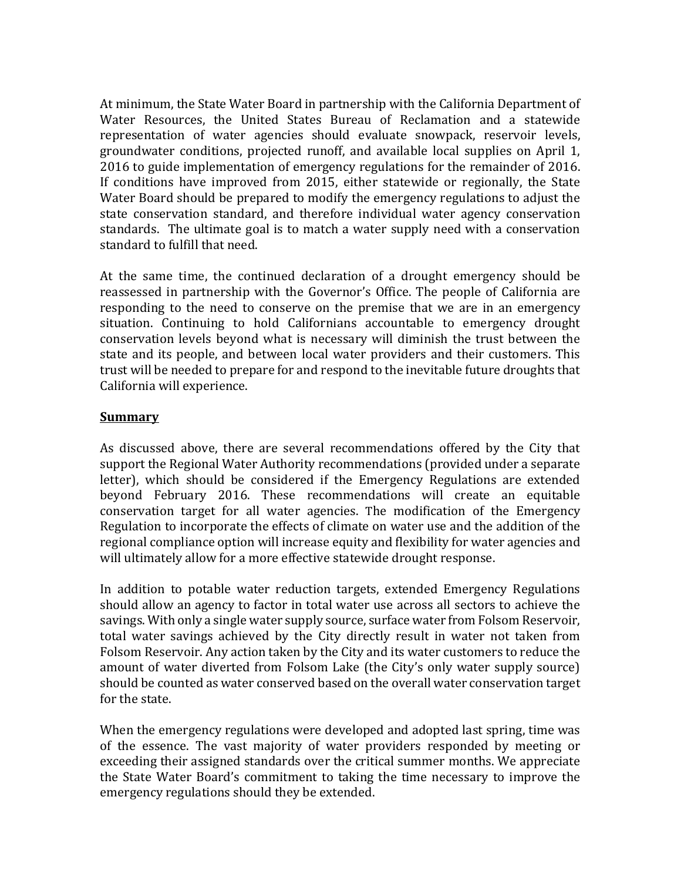At minimum, the State Water Board in partnership with the California Department of Water Resources, the United States Bureau of Reclamation and a statewide representation of water agencies should evaluate snowpack, reservoir levels, groundwater conditions, projected runoff, and available local supplies on April 1, 2016 to guide implementation of emergency regulations for the remainder of 2016. If conditions have improved from 2015, either statewide or regionally, the State Water Board should be prepared to modify the emergency regulations to adjust the state conservation standard, and therefore individual water agency conservation standards. The ultimate goal is to match a water supply need with a conservation standard to fulfill that need.

At the same time, the continued declaration of a drought emergency should be reassessed in partnership with the Governor's Office. The people of California are responding to the need to conserve on the premise that we are in an emergency situation. Continuing to hold Californians accountable to emergency drought conservation levels beyond what is necessary will diminish the trust between the state and its people, and between local water providers and their customers. This trust will be needed to prepare for and respond to the inevitable future droughts that California will experience.

## **Summary**

As discussed above, there are several recommendations offered by the City that support the Regional Water Authority recommendations (provided under a separate letter), which should be considered if the Emergency Regulations are extended beyond February 2016. These recommendations will create an equitable conservation target for all water agencies. The modification of the Emergency Regulation to incorporate the effects of climate on water use and the addition of the regional compliance option will increase equity and flexibility for water agencies and will ultimately allow for a more effective statewide drought response.

In addition to potable water reduction targets, extended Emergency Regulations should allow an agency to factor in total water use across all sectors to achieve the savings. With only a single water supply source, surface water from Folsom Reservoir, total water savings achieved by the City directly result in water not taken from Folsom Reservoir. Any action taken by the City and its water customers to reduce the amount of water diverted from Folsom Lake (the City's only water supply source) should be counted as water conserved based on the overall water conservation target for the state.

When the emergency regulations were developed and adopted last spring, time was of the essence. The vast majority of water providers responded by meeting or exceeding their assigned standards over the critical summer months. We appreciate the State Water Board's commitment to taking the time necessary to improve the emergency regulations should they be extended.